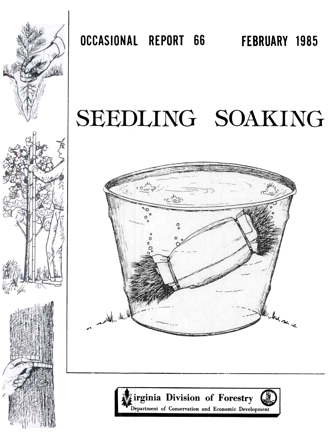

OCCASIONAL REPORT 66 FEBRUARY 1985

# SEEDLING SOAKING



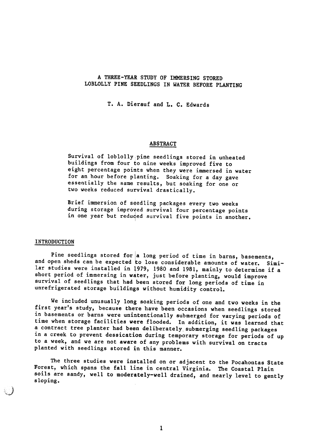# A THREE-YEAR STUDY OF IMMERSING STORED LOBLOLLY PINE SEEDLINGS IN WATER BEFORE PLANTING

T. A. Dierauf and L. C. Edwards

## ABSTRACT

Survival of loblolly pine seedlings stored in unheated buildings from four to nine weeks improved five to eight percentage points when they were immersed in water for an hour before planting. Soaking for a day gave essentially the same results, but soaking for one or two weeks reduced survival drastically.

Brief immersion of seedling packages every two weeks during storage improved survival four percentage points in one year but reduced survival five points in another.

#### INTRODUCTION

,,;)

Pine seedlings stored for a long period of time in barns, basements, and open sheds can be expected to lose considerable amounts of water. Similar studies were installed in 1979, 1980 and 1981, mainly to determine if a short period of immersing in water, just before planting, would improve survival of seedlings that had been stored for long periods of time in unrefrigerated storage buildings without humidity control.

We included unusually long soaking periods of one and two weeks in the first year's study, because there have been occasions when seedlings stored in basements or barns were unintentionally submerged for varying periods of time when storage facilities were flooded. In addition, it was learned that a contract tree planter had been deliberately, submerging seedling packages in a creek to prevent dessication during temporary storage for periods of up to a week, and we are not aware of any problems with survival on tracts planted with seedlings stored in this manner.

The three studies were installed on or adjacent to the Pocahontas State Forest, which spans the fall line in central Virginia. The Coastal Plain soils are sandy, well to moderately-well drained, and nearly level to gently sloping.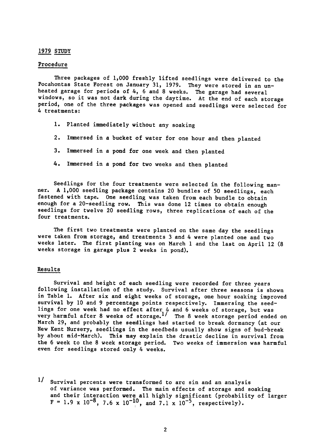# <u>1979 STOI</u>

#### Procedure

Three packages of 1,000 freshly lifted seedlings were delivered to the Pocahontas State Forest on January 31, 1979. They were stored in an unheated garage for periods of 4, 6 and 8 weeks. The garage had several windows, so it was not dark during the daytime. At the end of each storage period, one of the three packages was opened and seedlings were selected for 4 treatments:

- 1. Planted immediately without any soaking
- 2. Immersed in a bucket of water for one hour and then planted
- 3. Immersed in a pond for one week and then planted
- 4. Immersed in a pond for two weeks and then planted

Seedlings for the four treatments were selected in the following manner. A 1,000 seedling package contains 20 bundles of 50 seedlings, each fastened with tape. One seedling was taken from each bundle to obtain enough for a 20-seedling row. This was done 12 times to obtain enough seedlings for twelve 20 seedling rows, three replications of each of the four treatments.

The first two treatments were planted on the same day the seedlings were taken from storage, and treatments 3 and 4 were planted one and two weeks later. The first planting was on March I and the last on April 12 (8 weeks storage in garage plus 2 weeks in pond).

## Results

Survival and height of each seedling were recorded for three years following installation of the study. Survival after three seasons is shown in Table I. After six and eight weeks of storage, one hour soaking improved survival by 10 and 9 percentage points respectively. Immersing the seedlings for one week had no effect after 4 and 6 weeks of storage, but was very harmful after 8 weeks of storage.<sup>1</sup>/ The 8 week storage period ended or March 29, and probably the seeldlings had started to break dormancy (at our New Kent Nursery, seedlings in the seedbeds usually show signs of bud-break by about mid-March). This may explain the drastic decline in survival from the 6 week to the 8 week storage period. Two weeks of immersion was harmful even for seedlings stored only 4 weeks.

1/ Survival percents were transformed to arc sin and an analysis of variance was performed. The main effects of storage and soaking and their interaction were all highly significant (probability of larg  $F = 1.9 \times 10^{-8}$ , 7.6 x  $10^{-10}$ , and 7.1 x  $10^{-5}$ , respectively I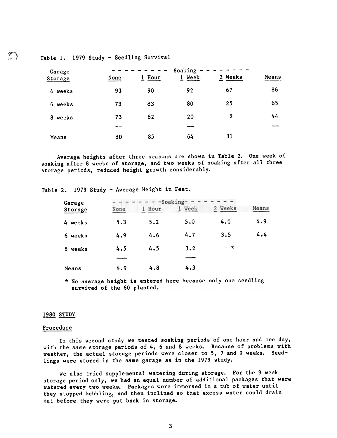Table 1. 1979 Study - Seedling Survival

| Garage<br>Storage | None | Hour | Soaking<br>Week<br>$\mathbf{1}$ | Weeks<br>$\mathbf{2}$ | Means |
|-------------------|------|------|---------------------------------|-----------------------|-------|
| 4 weeks           | 93   | 90   | 92                              | 67                    | 86    |
| 6 weeks           | 73   | 83   | 80                              | 25                    | 65    |
| weeks<br>8.       | 73   | 82   | 20                              | 2                     | 44    |
|                   |      |      |                                 |                       |       |
| Means             | 80   | 85   | 64                              | 31                    |       |

Average heights after three seasons are shown in Table 2. One week of soaking after 8 weeks of storage, and two weeks of soaking after all three storage periods, reduced height growth considerably.

Table 2. 1979 Study - Average Height in Feet.

| Garage     | -Soaking- |           |      |         |       |  |
|------------|-----------|-----------|------|---------|-------|--|
| Storage    | None      | Hour<br>т | Week | 2 Weeks | Means |  |
| 4 weeks    | 5.3       | 5.2       | 5.0  | 4.0     | 4.9   |  |
| 6 weeks    | 4.9       | 4.6       | 4.7  | 3.5     | 4.4   |  |
| 8<br>weeks | 4.5       | 4.5       | 3.2  | $- x$   |       |  |
|            |           |           |      |         |       |  |
| Means      | 4.9       | 4.8       | 4.3  |         |       |  |

\* No average height is entered here because only one seedling survived of the 60 planted.

# 1980 <u>STUD</u>

### Procedure

In this second study we tested soaking periods of one hour and one day, with the same storage periods of 4, 6 and 8 weeks. Because of problems with weather, the actual storage periods were closer to 5, 7 and 9 weeks. Seedlings were stored in the same garage as in the 1979 study.

We also tried supplemental watering during storage. For the 9 week storage period only, we had an equal number of additional packages that were watered every two weeks. Packages were immersed in a tub of water until they stopped bubbling, and then inclined so that excess water could drain out before they were put back in storage.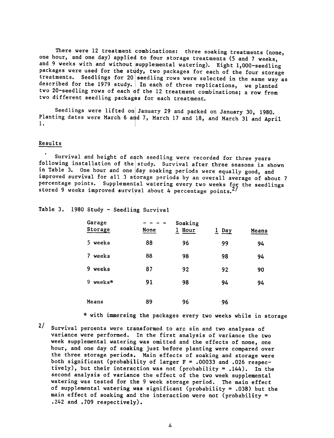There were 12 treatment combinations: three soaking treatments (none, one hour, and one day) applied to four storage treatments (5 and 7 weeks, and 9 weeks with and without supplemental watering). Eight 1,000-seedling packages were used for the study, two packages for each of the four storage treatments. Seedlings for 20 seedling rows were selected in the same way as described for the 1979 study. In each of three replications, we planted two 20-seedling rows of each of the 12 treatment combinations; a row from two different seedling packages for each treatment.

Seedlings were lifted on January 29 and packed on January 30, 1980. Planting dates were March 6 and 7, March 17 and 18, and March 31 and April 1.

## Results

Survival and height of each seedling were recorded for three years following installation of the study. Survival after three seasons is shown in Table 3. One hour and one day soaking periods were equally good, and improved survival for all 3 storage periods by an overall average of about 7 percentage points. Supplemental watering every two weeks for the seedlings stored 9 weeks improved survival about 4 percentage points.

Table 3. 1980 Study - Seedling Survival

| Garage<br>Storage | None | Soaking<br>Hour | 1 Day | Means |
|-------------------|------|-----------------|-------|-------|
| weeks<br>5.       | 88   | 96              | 99    | 94    |
| weeks<br>7        | 88   | 98              | 98    | 94    |
| 9<br>weeks        | 87   | 92              | 92    | 90    |
| 9<br>weeks*       | 91   | 98              | 94    | 94    |
| Means             | 89   | 96              | 96    |       |

\* with immersing the packages every two weeks while in storage

2/ Survival percents were transformed to arc sin and two analyses of variance were performed. In the first analysis of variance the two week supplemental watering was omitted and the effects of none, one hour, and one day of soaking just before planting were compared over the three storage periods. Main effects of soaking and storage were both significant (probability of larger  $F = .00033$  and .026 respectively), but their interaction was not (probability = .144). In the second analysis of variance the effect of the two week supplemental watering was tested for the 9 week storage period. The main effect of supplemental watering was significant (probability = .038) but the main effect of soaking and the interaction were not (probability = .242 and .709 respectively).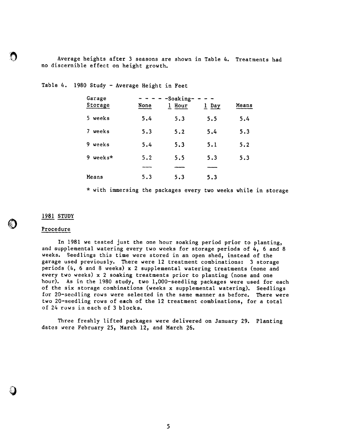$\mathbb{R}$  Average heights after 3 seasons are shown in Table 4. Treatments had no discernible effect on height growth.

Table 4. 1980 Study - Average Height in Feet

| Garage<br>Storage | None | -Soaking-<br>Hour<br>ı | $1$ Day | Means |
|-------------------|------|------------------------|---------|-------|
| weeks<br>5.       | 5.4  | 5.3                    | 5.5     | 5.4   |
| weeks<br>7        | 5.3  | 5.2                    | 5.4     | 5.3   |
| 9<br>weeks        | 5.4  | 5.3                    | 5.1     | 5.2   |
| weeks*<br>9       | 5.2  | 5.5                    | 5.3     | 5.3   |
|                   |      |                        |         |       |
| Means             | 5.3  | 5.3                    | 5.3     |       |

\* with immersing the packages every two weeks while in storage

1981 <u>2101</u>

~

~

i.

## Procedure

In 1981 we tested just the one hour soaking period prior to planting, and supplemental watering every two weeks for storage periods of  $4$ , 6 and 8 weeks. Seedlings this time were stored in an open shed, instead of the garage used previously. There were 12 treatment combinations: 3 storage periods (4, 6 and 8 weeks) x 2 supplemental watering treatments (none and every two weeks) x 2 soaking treatments prior to planting (none and one hour). As in the 1980 study, two 1,000-seedling packages were used for each of the six storage combinations (weeks x supplemental watering). Seedlings for 20-seedling rows were selected in the same manner as before. There were two 20-seedling rows of each of the 12 treatment combinations, for a total of 24 rows in each of 3 blocks.

Three freshly lifted packages were delivered on January 29. Plant dates were February 25, March 12, and March 26.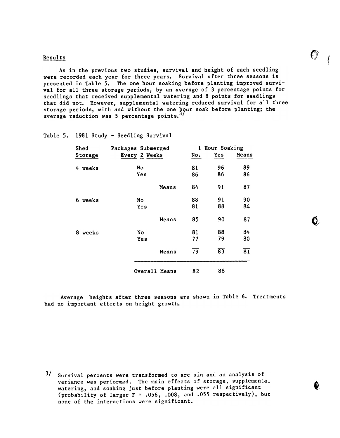#### $\kappa$  results that is a set of  $\kappa$  is a set of  $\kappa$  is a set of  $\kappa$  is a set of  $\kappa$

As in the previous two studies, survival and height of each seedling were recorded each year for three years. Survival after three seasons is presented in Table 5. The one hour soaking before planting improved survival for all three storage periods, by an average of 3 percentage points for seedlings that received supplemental watering and 8 points for seedlings that did not. However, supplemental watering reduced survival for all three storage periods, with and without the one hour soak before planting; th average reduction was 5 percentage point

 $\epsilon$ 

t/

f

Table 5. 1981 Study - Seedling Survival

| Shed    | Packages Submerged |       |                 | 1 Hour Soaking  |                 |  |
|---------|--------------------|-------|-----------------|-----------------|-----------------|--|
| Storage | Every 2 Weeks      |       | No.             | $Yes$           | Means           |  |
| 4 weeks | No                 |       | 81              | 96              | 89              |  |
|         | Yes                |       | 86              | 86              | 86              |  |
|         |                    | Means | 84              | 91              | 87              |  |
| 6 weeks | No                 |       | 88              | 91              | 90              |  |
|         | Yes                |       | 81              | 88              | 84              |  |
|         |                    | Means | 85              | 90              | 87              |  |
| 8 weeks | No                 |       | 81              | 88              | 84              |  |
|         | Yes                |       | 77              | 79              | 80              |  |
|         |                    | Means | $\overline{79}$ | $\overline{83}$ | $\overline{81}$ |  |
|         | Overall Means      |       | 82              | 88              |                 |  |

Average heights after three seasons are shown in Table 6. Treatme had no important effects on height growth.

3/ Survival percents were transformed to arc sin and an analysis of variance was performed. The main effects of storage, supplemental watering, and soaking just before planting were all significant (probability of larger  $F = .056$ , .008, and .055 respectively), but none of the interactions were significant.